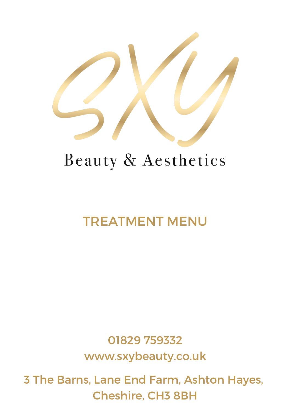

# Beauty & Aesthetics

## TREATMENT MENU

01829 759332 www.sxybeauty.co.uk

3 The Barns, Lane End Farm, Ashton Hayes, Cheshire, CH3 8BH